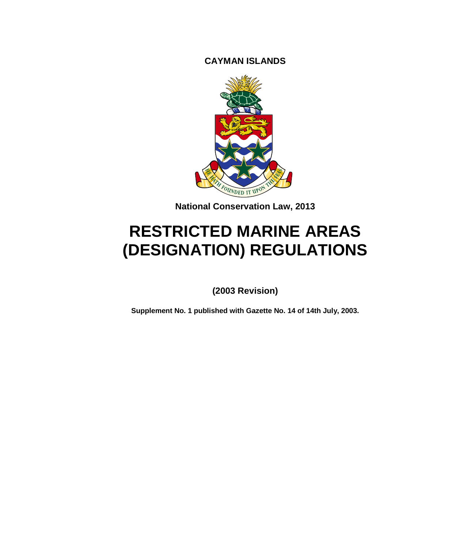**CAYMAN ISLANDS**



**National Conservation Law, 2013**

# **RESTRICTED MARINE AREAS (DESIGNATION) REGULATIONS**

**(2003 Revision)**

**Supplement No. 1 published with Gazette No. 14 of 14th July, 2003.**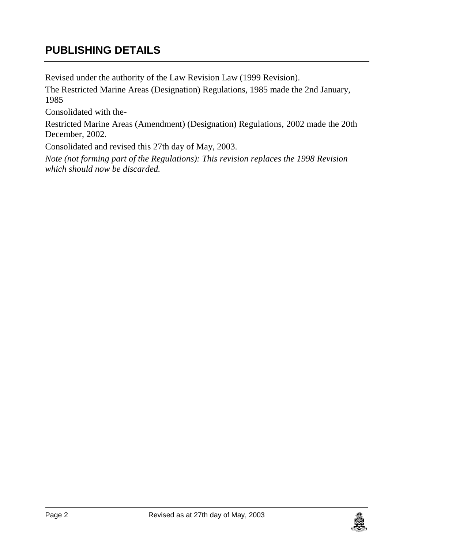# **PUBLISHING DETAILS**

Revised under the authority of the Law Revision Law (1999 Revision).

The Restricted Marine Areas (Designation) Regulations, 1985 made the 2nd January, 1985

Consolidated with the-

Restricted Marine Areas (Amendment) (Designation) Regulations, 2002 made the 20th December, 2002.

Consolidated and revised this 27th day of May, 2003.

*Note (not forming part of the Regulations): This revision replaces the 1998 Revision which should now be discarded.*

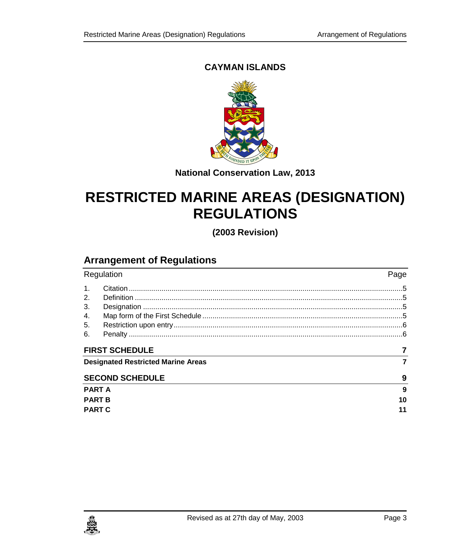#### **CAYMAN ISLANDS**



**National Conservation Law, 2013**

# **RESTRICTED MARINE AREAS (DESIGNATION) REGULATIONS**

**(2003 Revision)**

## **Arrangement of Regulations**

| Regulation                                |  | Page |
|-------------------------------------------|--|------|
| $\mathbf{1}$ .                            |  |      |
| 2.                                        |  |      |
| 3.                                        |  |      |
| 4.                                        |  |      |
| 5.                                        |  |      |
| 6.                                        |  |      |
| <b>FIRST SCHEDULE</b>                     |  |      |
| <b>Designated Restricted Marine Areas</b> |  |      |
| <b>SECOND SCHEDULE</b>                    |  | 9    |
| <b>PART A</b>                             |  | 9    |
| <b>PART B</b>                             |  | 10   |
| <b>PART C</b>                             |  | 11   |

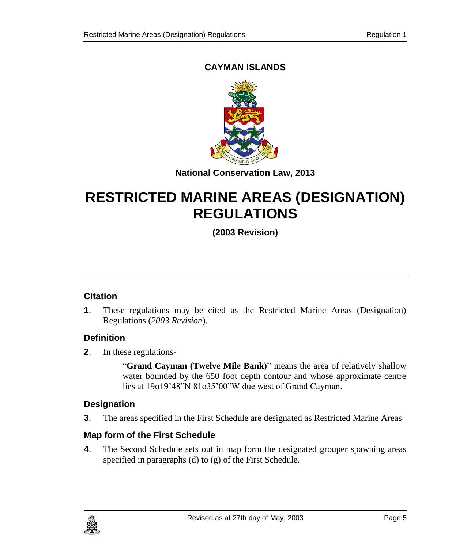### **CAYMAN ISLANDS**



#### **National Conservation Law, 2013**

# **RESTRICTED MARINE AREAS (DESIGNATION) REGULATIONS**

### **(2003 Revision)**

#### <span id="page-4-0"></span>**1. Citation**

**1**. These regulations may be cited as the Restricted Marine Areas (Designation) Regulations (*2003 Revision*).

#### <span id="page-4-1"></span>**2. Definition**

**2**. In these regulations-

"**Grand Cayman (Twelve Mile Bank)**" means the area of relatively shallow water bounded by the 650 foot depth contour and whose approximate centre lies at 19o19'48"N 81o35'00"W due west of Grand Cayman.

#### <span id="page-4-2"></span>**3. Designation**

**3**. The areas specified in the First Schedule are designated as Restricted Marine Areas

#### <span id="page-4-3"></span>**4. Map form of the First Schedule**

**4**. The Second Schedule sets out in map form the designated grouper spawning areas specified in paragraphs (d) to (g) of the First Schedule.

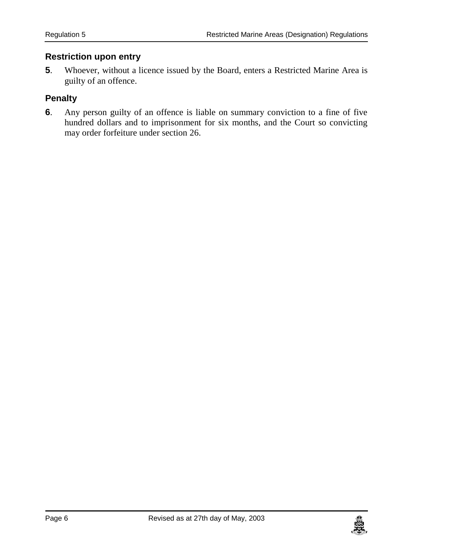#### <span id="page-5-0"></span>**5. Restriction upon entry**

**5**. Whoever, without a licence issued by the Board, enters a Restricted Marine Area is guilty of an offence.

#### <span id="page-5-1"></span>**6. Penalty**

**6**. Any person guilty of an offence is liable on summary conviction to a fine of five hundred dollars and to imprisonment for six months, and the Court so convicting may order forfeiture under section 26.

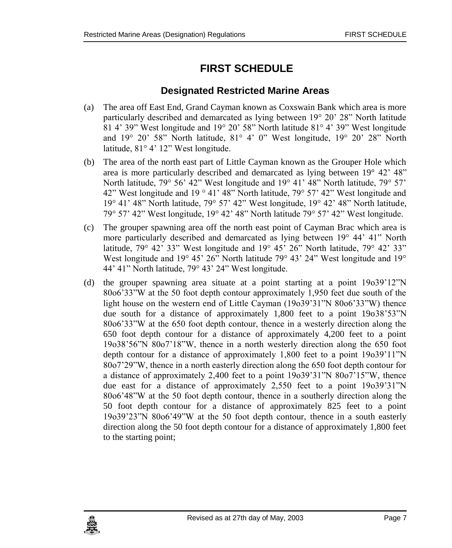# <span id="page-6-0"></span>**FIRST SCHEDULE**

#### **Designated Restricted Marine Areas**

- <span id="page-6-1"></span>(a) The area off East End, Grand Cayman known as Coxswain Bank which area is more particularly described and demarcated as lying between 19° 20' 28" North latitude 81 4' 39" West longitude and 19° 20' 58" North latitude 81° 4' 39" West longitude and 19° 20' 58" North latitude, 81° 4' 0" West longitude, 19° 20' 28" North latitude, 81° 4' 12" West longitude.
- (b) The area of the north east part of Little Cayman known as the Grouper Hole which area is more particularly described and demarcated as lying between 19° 42' 48" North latitude, 79° 56' 42" West longitude and 19° 41' 48" North latitude, 79° 57' 42" West longitude and 19 ° 41' 48" North latitude, 79° 57' 42" West longitude and 19° 41' 48" North latitude, 79° 57' 42" West longitude, 19° 42' 48" North latitude, 79° 57' 42" West longitude, 19° 42' 48" North latitude 79° 57' 42" West longitude.
- (c) The grouper spawning area off the north east point of Cayman Brac which area is more particularly described and demarcated as lying between 19° 44' 41" North latitude, 79° 42' 33" West longitude and 19° 45' 26" North latitude, 79° 42' 33" West longitude and 19° 45' 26" North latitude 79° 43' 24" West longitude and 19° 44' 41" North latitude, 79° 43' 24" West longitude.
- (d) the grouper spawning area situate at a point starting at a point 19o39'12"N 80o6'33"W at the 50 foot depth contour approximately 1,950 feet due south of the light house on the western end of Little Cayman (19o39'31"N 80o6'33"W) thence due south for a distance of approximately 1,800 feet to a point 19o38'53"N 80o6'33"W at the 650 foot depth contour, thence in a westerly direction along the 650 foot depth contour for a distance of approximately 4,200 feet to a point 19o38'56"N 80o7'18"W, thence in a north westerly direction along the 650 foot depth contour for a distance of approximately 1,800 feet to a point 19o39'11"N 80o7'29"W, thence in a north easterly direction along the 650 foot depth contour for a distance of approximately 2,400 feet to a point 19o39'31"N 80o7'15"W, thence due east for a distance of approximately 2,550 feet to a point 19o39'31"N 80o6'48"W at the 50 foot depth contour, thence in a southerly direction along the 50 foot depth contour for a distance of approximately 825 feet to a point 19o39'23"N 80o6'49"W at the 50 foot depth contour, thence in a south easterly direction along the 50 foot depth contour for a distance of approximately 1,800 feet to the starting point;

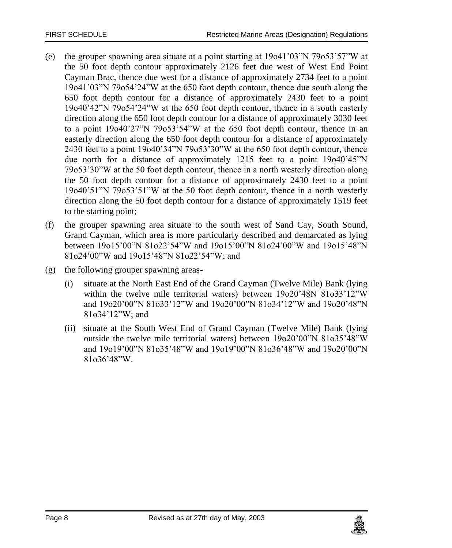- (e) the grouper spawning area situate at a point starting at 19o41'03"N 79o53'57"W at the 50 foot depth contour approximately 2126 feet due west of West End Point Cayman Brac, thence due west for a distance of approximately 2734 feet to a point 19o41'03"N 79o54'24"W at the 650 foot depth contour, thence due south along the 650 foot depth contour for a distance of approximately 2430 feet to a point 19o40'42"N 79o54'24"W at the 650 foot depth contour, thence in a south easterly direction along the 650 foot depth contour for a distance of approximately 3030 feet to a point 19o40'27"N 79o53'54"W at the 650 foot depth contour, thence in an easterly direction along the 650 foot depth contour for a distance of approximately 2430 feet to a point 19o40'34"N 79o53'30"W at the 650 foot depth contour, thence due north for a distance of approximately 1215 feet to a point 19o40'45"N 79o53'30"W at the 50 foot depth contour, thence in a north westerly direction along the 50 foot depth contour for a distance of approximately 2430 feet to a point 19o40'51"N 79o53'51"W at the 50 foot depth contour, thence in a north westerly direction along the 50 foot depth contour for a distance of approximately 1519 feet to the starting point;
- (f) the grouper spawning area situate to the south west of Sand Cay, South Sound, Grand Cayman, which area is more particularly described and demarcated as lying between 19o15'00"N 81o22'54"W and 19o15'00"N 81o24'00"W and 19o15'48"N 81o24'00"W and 19o15'48"N 81o22'54"W; and
- (g) the following grouper spawning areas-
	- (i) situate at the North East End of the Grand Cayman (Twelve Mile) Bank (lying within the twelve mile territorial waters) between 19o20'48N 81o33'12"W and 19o20'00"N 81o33'12"W and 19o20'00"N 81o34'12"W and 19o20'48"N 81o34'12"W; and
	- (ii) situate at the South West End of Grand Cayman (Twelve Mile) Bank (lying outside the twelve mile territorial waters) between 19o20'00"N 81o35'48"W and 19o19'00"N 81o35'48"W and 19o19'00"N 81o36'48"W and 19o20'00"N 81o36'48"W.

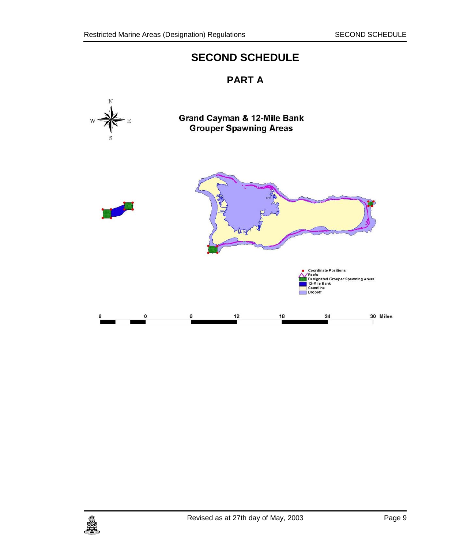## **SECOND SCHEDULE**

### **PART A**

<span id="page-8-1"></span><span id="page-8-0"></span>

**Grand Cayman & 12-Mile Bank Grouper Spawning Areas** 



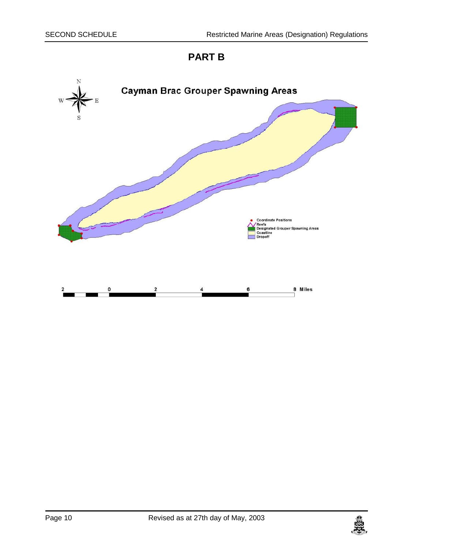## **PART B**

<span id="page-9-0"></span>